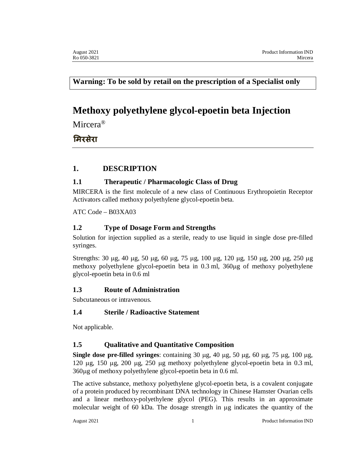**Warning: To be sold by retail on the prescription of a Specialist only**

# **Methoxy polyethylene glycol-epoetin beta Injection**

Mircera<sup>®</sup>

# मिरसेरा

# **1. DESCRIPTION**

# **1.1 Therapeutic / Pharmacologic Class of Drug**

MIRCERA is the first molecule of a new class of Continuous Erythropoietin Receptor Activators called methoxy polyethylene glycol-epoetin beta.

ATC Code – B03XA03

# **1.2 Type of Dosage Form and Strengths**

Solution for injection supplied as a sterile, ready to use liquid in single dose pre-filled syringes.

Strengths: 30  $\mu$ g, 40  $\mu$ g, 50  $\mu$ g, 60  $\mu$ g, 75  $\mu$ g, 100  $\mu$ g, 120  $\mu$ g, 150  $\mu$ g, 200  $\mu$ g, 250  $\mu$ g methoxy polyethylene glycol-epoetin beta in 0.3 ml, 360µg of methoxy polyethylene glycol-epoetin beta in 0.6 ml

# **1.3 Route of Administration**

Subcutaneous or intravenous.

# **1.4 Sterile / Radioactive Statement**

Not applicable.

# **1.5 Qualitative and Quantitative Composition**

**Single dose pre-filled syringes**: containing  $30 \mu$ g,  $40 \mu$ g,  $50 \mu$ g,  $60 \mu$ g,  $75 \mu$ g,  $100 \mu$ g, 120  $\mu$ g, 150  $\mu$ g, 200  $\mu$ g, 250  $\mu$ g methoxy polyethylene glycol-epoetin beta in 0.3 ml, 360µg of methoxy polyethylene glycol-epoetin beta in 0.6 ml.

The active substance, methoxy polyethylene glycol-epoetin beta, is a covalent conjugate of a protein produced by recombinant DNA technology in Chinese Hamster Ovarian cells and a linear methoxy-polyethylene glycol (PEG). This results in an approximate molecular weight of 60 kDa. The dosage strength in  $\mu$ g indicates the quantity of the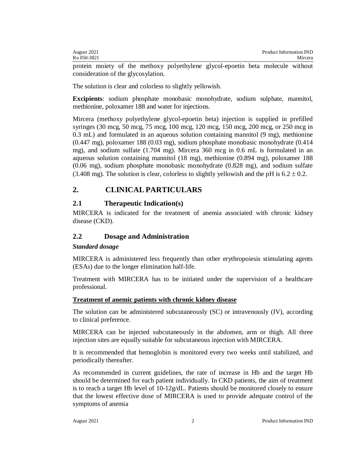| Product Information IND<br>August 2021 |         |
|----------------------------------------|---------|
| Ro 050-3821                            | Mircera |

protein moiety of the methoxy polyethylene glycol-epoetin beta molecule without consideration of the glycosylation.

The solution is clear and colorless to slightly yellowish.

**Excipients**: sodium phosphate monobasic monohydrate, sodium sulphate, mannitol, methionine, poloxamer 188 and water for injections.

Mircera (methoxy polyethylene glycol-epoetin beta) injection is supplied in prefilled syringes (30 mcg, 50 mcg, 75 mcg, 100 mcg, 120 mcg, 150 mcg, 200 mcg, or 250 mcg in 0.3 mL) and formulated in an aqueous solution containing mannitol (9 mg), methionine (0.447 mg), poloxamer 188 (0.03 mg), sodium phosphate monobasic monohydrate (0.414 mg), and sodium sulfate (1.704 mg). Mircera 360 mcg in 0.6 mL is formulated in an aqueous solution containing mannitol (18 mg), methionine (0.894 mg), poloxamer 188 (0.06 mg), sodium phosphate monobasic monohydrate (0.828 mg), and sodium sulfate (3.408 mg). The solution is clear, colorless to slightly vellowish and the pH is  $6.2 \pm 0.2$ .

# **2. CLINICAL PARTICULARS**

#### **2.1 Therapeutic Indication(s)**

MIRCERA is indicated for the treatment of anemia associated with chronic kidney disease (CKD).

### **2.2 Dosage and Administration**

#### *Standard dosage*

MIRCERA is administered less frequently than other erythropoiesis stimulating agents (ESAs) due to the longer elimination half-life.

Treatment with MIRCERA has to be initiated under the supervision of a healthcare professional.

#### **Treatment of anemic patients with chronic kidney disease**

The solution can be administered subcutaneously (SC) or intravenously (IV), according to clinical preference.

MIRCERA can be injected subcutaneously in the abdomen, arm or thigh. All three injection sites are equally suitable for subcutaneous injection with MIRCERA.

It is recommended that hemoglobin is monitored every two weeks until stabilized, and periodically thereafter.

As recommended in current guidelines, the rate of increase in Hb and the target Hb should be determined for each patient individually. In CKD patients, the aim of treatment is to reach a target Hb level of  $10-12g/dL$ . Patients should be monitored closely to ensure that the lowest effective dose of MIRCERA is used to provide adequate control of the symptoms of anemia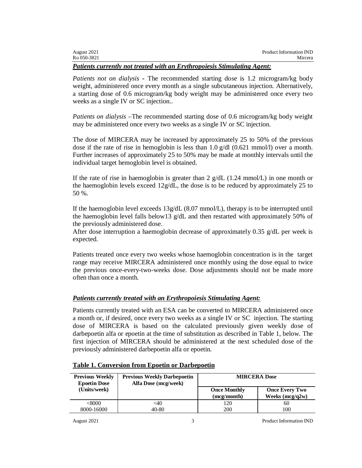| August 2021 | Product Information IND |
|-------------|-------------------------|
| Ro 050-3821 | Mircera                 |

#### *Patients currently not treated with an Erythropoiesis Stimulating Agent:*

*Patients not on dialysis* **-** The recommended starting dose is 1.2 microgram/kg body weight, administered once every month as a single subcutaneous injection. Alternatively, a starting dose of 0.6 microgram/kg body weight may be administered once every two weeks as a single IV or SC injection..

*Patients on dialysis* –The recommended starting dose of 0.6 microgram/kg body weight may be administered once every two weeks as a single IV or SC injection.

The dose of MIRCERA may be increased by approximately 25 to 50% of the previous dose if the rate of rise in hemoglobin is less than 1.0  $g/dl$  (0.621 mmol/l) over a month. Further increases of approximately 25 to 50% may be made at monthly intervals until the individual target hemoglobin level is obtained.

If the rate of rise in haemoglobin is greater than 2  $g/dL$  (1.24 mmol/L) in one month or the haemoglobin levels exceed  $12g/dL$ , the dose is to be reduced by approximately 25 to 50 %.

If the haemoglobin level exceeds  $13g/dL$  (8.07 mmol/L), therapy is to be interrupted until the haemoglobin level falls below13  $g/dL$  and then restarted with approximately 50% of the previously administered dose.

After dose interruption a haemoglobin decrease of approximately 0.35  $g/dL$  per week is expected.

Patients treated once every two weeks whose haemoglobin concentration is in the target range may receive MIRCERA administered once monthly using the dose equal to twice the previous once-every-two-weeks dose. Dose adjustments should not be made more often than once a month.

### *Patients currently treated with an Erythropoiesis Stimulating Agent:*

Patients currently treated with an ESA can be converted to MIRCERA administered once a month or, if desired, once every two weeks as a single IV or SC injection. The starting dose of MIRCERA is based on the calculated previously given weekly dose of darbepoetin alfa or epoetin at the time of substitution as described in Table 1, below. The first injection of MIRCERA should be administered at the next scheduled dose of the previously administered darbepoetin alfa or epoetin.

| <b>Previous Weekly</b><br><b>Epoetin Dose</b> | <b>Previous Weekly Darbepoetin</b><br>Alfa Dose (mcg/week) | <b>MIRCERA Dose</b>                |                                            |
|-----------------------------------------------|------------------------------------------------------------|------------------------------------|--------------------------------------------|
| (Units/week)                                  |                                                            | <b>Once Monthly</b><br>(mcg/month) | <b>Once Every Two</b><br>Weeks $(mcg/q2w)$ |
| $<\!\!8000$                                   | $<$ 40                                                     | 120                                | 60                                         |
| 8000-16000                                    | 40-80                                                      | 200                                | 100                                        |

#### **Table 1. Conversion from Epoetin or Darbepoetin**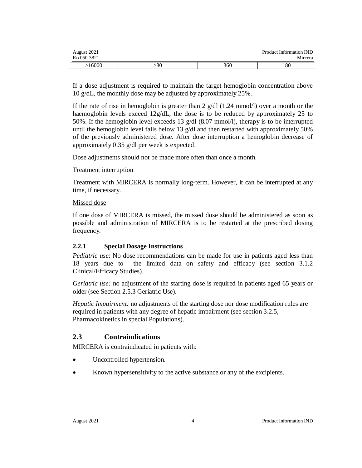| August 2021<br>Ro 050-3821 |     |     | Product Information IND<br>Mircera |
|----------------------------|-----|-----|------------------------------------|
| 16000                      | -80 | 360 | 180                                |

If a dose adjustment is required to maintain the target hemoglobin concentration above 10 g/dL, the monthly dose may be adjusted by approximately 25%.

If the rate of rise in hemoglobin is greater than 2  $g/dl$  (1.24 mmol/l) over a month or the haemoglobin levels exceed 12g/dL, the dose is to be reduced by approximately 25 to 50%. If the hemoglobin level exceeds 13 g/dl (8.07 mmol/l), therapy is to be interrupted until the hemoglobin level falls below 13 g/dl and then restarted with approximately 50% of the previously administered dose. After dose interruption a hemoglobin decrease of approximately 0.35 g/dl per week is expected.

Dose adjustments should not be made more often than once a month.

### Treatment interruption

Treatment with MIRCERA is normally long-term. However, it can be interrupted at any time, if necessary.

### Missed dose

If one dose of MIRCERA is missed, the missed dose should be administered as soon as possible and administration of MIRCERA is to be restarted at the prescribed dosing frequency.

### **2.2.1 Special Dosage Instructions**

*Pediatric use*: No dose recommendations can be made for use in patients aged less than 18 years due to the limited data on safety and efficacy (see section 3.1.2 Clinical/Efficacy Studies).

*Geriatric use:* no adjustment of the starting dose is required in patients aged 65 years or older (see Section 2.5.3 Geriatric Use).

*Hepatic Impairment:* no adjustments of the starting dose nor dose modification rules are required in patients with any degree of hepatic impairment (see section 3.2.5, Pharmacokinetics in special Populations).

# **2.3 Contraindications**

MIRCERA is contraindicated in patients with:

- Uncontrolled hypertension.
- Known hypersensitivity to the active substance or any of the excipients.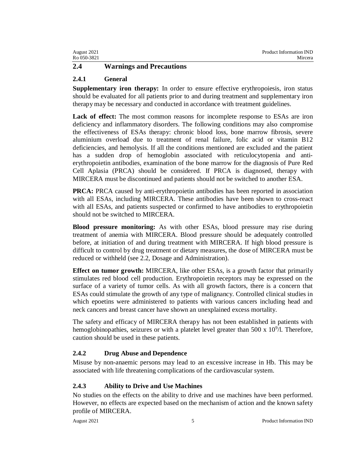| August 2021 | Product Information IND |
|-------------|-------------------------|
| Ro 050-3821 | Mircera                 |
|             |                         |

# **2.4 Warnings and Precautions**

### **2.4.1 General**

**Supplementary iron therapy:** In order to ensure effective erythropoiesis, iron status should be evaluated for all patients prior to and during treatment and supplementary iron therapy may be necessary and conducted in accordance with treatment guidelines.

Lack of effect: The most common reasons for incomplete response to ESAs are iron deficiency and inflammatory disorders. The following conditions may also compromise the effectiveness of ESAs therapy: chronic blood loss, bone marrow fibrosis, severe aluminium overload due to treatment of renal failure, folic acid or vitamin B12 deficiencies, and hemolysis. If all the conditions mentioned are excluded and the patient has a sudden drop of hemoglobin associated with reticulocytopenia and antierythropoietin antibodies, examination of the bone marrow for the diagnosis of Pure Red Cell Aplasia (PRCA) should be considered. If PRCA is diagnosed, therapy with MIRCERA must be discontinued and patients should not be switched to another ESA.

**PRCA:** PRCA caused by anti-erythropoietin antibodies has been reported in association with all ESAs, including MIRCERA. These antibodies have been shown to cross-react with all ESAs, and patients suspected or confirmed to have antibodies to erythropoietin should not be switched to MIRCERA.

**Blood pressure monitoring:** As with other ESAs, blood pressure may rise during treatment of anemia with MIRCERA. Blood pressure should be adequately controlled before, at initiation of and during treatment with MIRCERA. If high blood pressure is difficult to control by drug treatment or dietary measures, the dose of MIRCERA must be reduced or withheld (see 2.2, Dosage and Administration).

**Effect on tumor growth:** MIRCERA, like other ESAs, is a growth factor that primarily stimulates red blood cell production. Erythropoietin receptors may be expressed on the surface of a variety of tumor cells. As with all growth factors, there is a concern that ESAs could stimulate the growth of any type of malignancy. Controlled clinical studies in which epoetins were administered to patients with various cancers including head and neck cancers and breast cancer have shown an unexplained excess mortality.

The safety and efficacy of MIRCERA therapy has not been established in patients with hemoglobinopathies, seizures or with a platelet level greater than 500 x  $10^9$ /l. Therefore, caution should be used in these patients.

### **2.4.2 Drug Abuse and Dependence**

Misuse by non-anaemic persons may lead to an excessive increase in Hb. This may be associated with life threatening complications of the cardiovascular system.

### **2.4.3 Ability to Drive and Use Machines**

No studies on the effects on the ability to drive and use machines have been performed. However, no effects are expected based on the mechanism of action and the known safety profile of MIRCERA.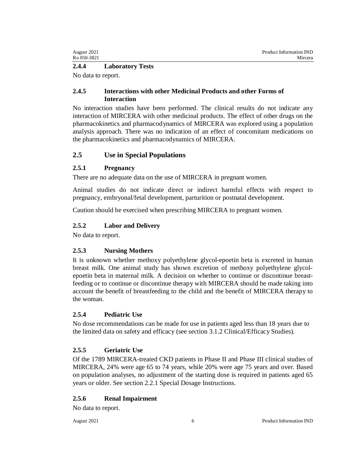| August 2021 | Product Information IND |
|-------------|-------------------------|
| Ro 050-3821 | Mircera                 |

#### **2.4.4 Laboratory Tests**

No data to report.

### **2.4.5 Interactions with other Medicinal Products and other Forms of Interaction**

No interaction studies have been performed. The clinical results do not indicate any interaction of MIRCERA with other medicinal products. The effect of other drugs on the pharmacokinetics and pharmacodynamics of MIRCERA was explored using a population analysis approach. There was no indication of an effect of concomitant medications on the pharmacokinetics and pharmacodynamics of MIRCERA.

### **2.5 Use in Special Populations**

### **2.5.1 Pregnancy**

There are no adequate data on the use of MIRCERA in pregnant women.

Animal studies do not indicate direct or indirect harmful effects with respect to pregnancy, embryonal/fetal development, parturition or postnatal development.

Caution should be exercised when prescribing MIRCERA to pregnant women.

# **2.5.2 Labor and Delivery**

No data to report.

# **2.5.3 Nursing Mothers**

It is unknown whether methoxy polyethylene glycol-epoetin beta is excreted in human breast milk. One animal study has shown excretion of methoxy polyethylene glycolepoetin beta in maternal milk. A decision on whether to continue or discontinue breastfeeding or to continue or discontinue therapy with MIRCERA should be made taking into account the benefit of breastfeeding to the child and the benefit of MIRCERA therapy to the woman.

# **2.5.4 Pediatric Use**

No dose recommendations can be made for use in patients aged less than 18 years due to the limited data on safety and efficacy (see section 3.1.2 Clinical/Efficacy Studies).

# **2.5.5 Geriatric Use**

Of the 1789 MIRCERA-treated CKD patients in Phase II and Phase III clinical studies of MIRCERA, 24% were age 65 to 74 years, while 20% were age 75 years and over. Based on population analyses, no adjustment of the starting dose is required in patients aged 65 years or older. See section 2.2.1 Special Dosage Instructions.

# **2.5.6 Renal Impairment**

No data to report.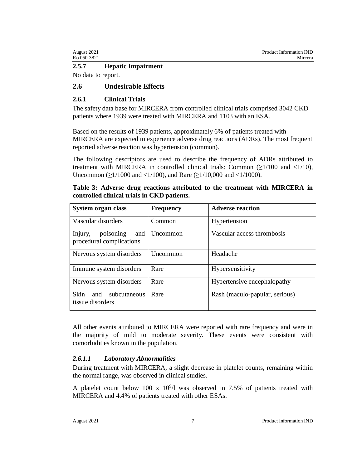| August 2021 | Product Information IND |
|-------------|-------------------------|
| Ro 050-3821 | Mircera                 |

#### **2.5.7 Hepatic Impairment**

No data to report.

### **2.6 Undesirable Effects**

### **2.6.1 Clinical Trials**

The safety data base for MIRCERA from controlled clinical trials comprised 3042 CKD patients where 1939 were treated with MIRCERA and 1103 with an ESA.

Based on the results of 1939 patients, approximately 6% of patients treated with MIRCERA are expected to experience adverse drug reactions (ADRs). The most frequent reported adverse reaction was hypertension (common).

The following descriptors are used to describe the frequency of ADRs attributed to treatment with MIRCERA in controlled clinical trials: Common  $(\geq 1/100$  and  $\lt 1/10)$ , Uncommon (≥1/1000 and <1/100), and Rare (≥1/10,000 and <1/1000).

| Table 3: Adverse drug reactions attributed to the treatment with MIRCERA in |  |  |  |  |
|-----------------------------------------------------------------------------|--|--|--|--|
| controlled clinical trials in CKD patients.                                 |  |  |  |  |

| System organ class                                      | <b>Frequency</b> | <b>Adverse reaction</b>        |
|---------------------------------------------------------|------------------|--------------------------------|
| Vascular disorders                                      | Common           | Hypertension                   |
| Injury,<br>poisoning<br>and<br>procedural complications | Uncommon         | Vascular access thrombosis     |
| Nervous system disorders                                | Uncommon         | Headache                       |
| Immune system disorders                                 | Rare             | Hypersensitivity               |
| Nervous system disorders                                | Rare             | Hypertensive encephalopathy    |
| <b>Skin</b><br>and<br>subcutaneous<br>tissue disorders  | Rare             | Rash (maculo-papular, serious) |

All other events attributed to MIRCERA were reported with rare frequency and were in the majority of mild to moderate severity. These events were consistent with comorbidities known in the population.

#### *2.6.1.1 Laboratory Abnormalities*

During treatment with MIRCERA, a slight decrease in platelet counts, remaining within the normal range, was observed in clinical studies.

A platelet count below 100 x  $10^9/1$  was observed in 7.5% of patients treated with MIRCERA and 4.4% of patients treated with other ESAs.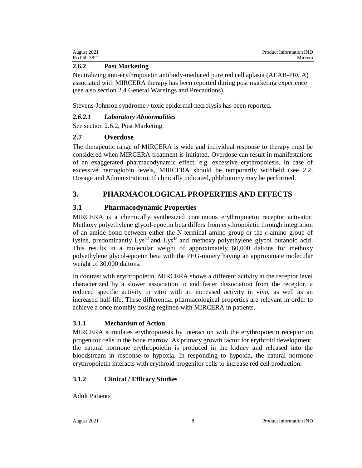| August 2021 | Product Information IND |
|-------------|-------------------------|
| Ro 050-3821 | Mircera                 |

### **2.6.2 Post Marketing**

Neutralizing anti-erythropoietin antibody-mediated pure red cell aplasia (AEAB-PRCA) associated with MIRCERA therapy has been reported during post marketing experience (see also section 2.4 General Warnings and Precautions).

Stevens-Johnson syndrome / toxic epidermal necrolysis has been reported.

### *2.6.2.1 Laboratory Abnormalities*

See section 2.6.2, Post Marketing.

# **2.7 Overdose**

The therapeutic range of MIRCERA is wide and individual response to therapy must be considered when MIRCERA treatment is initiated. Overdose can result in manifestations of an exaggerated pharmacodynamic effect, e.g. excessive erythropoiesis. In case of excessive hemoglobin levels, MIRCERA should be temporarily withheld (see 2.2, Dosage and Administration). If clinically indicated, phlebotomy may be performed.

# **3. PHARMACOLOGICAL PROPERTIES AND EFFECTS**

# **3.1 Pharmacodynamic Properties**

MIRCERA is a chemically synthesized continuous erythropoietin receptor activator. Methoxy polyethylene glycol-epoetin beta differs from erythropoietin through integration of an amide bond between either the N-terminal amino group or the ε-amino group of lysine, predominantly Lys<sup>52</sup> and Lys<sup>45</sup> and methoxy polyethylene glycol butanoic acid. This results in a molecular weight of approximately 60,000 daltons for methoxy polyethylene glycol-epoetin beta with the PEG-moiety having an approximate molecular weight of 30,000 daltons.

In contrast with erythropoietin, MIRCERA shows a different activity at the receptor level characterized by a slower association to and faster dissociation from the receptor, a reduced specific activity in vitro with an increased activity in vivo, as well as an increased half-life. These differential pharmacological properties are relevant in order to achieve a once monthly dosing regimen with MIRCERA in patients.

# **3.1.1 Mechanism of Action**

MIRCERA stimulates erythropoiesis by interaction with the erythropoietin receptor on progenitor cells in the bone marrow. As primary growth factor for erythroid development, the natural hormone erythropoietin is produced in the kidney and released into the bloodstream in response to hypoxia. In responding to hypoxia, the natural hormone erythropoietin interacts with erythroid progenitor cells to increase red cell production.

# **3.1.2 Clinical / Efficacy Studies**

Adult Patients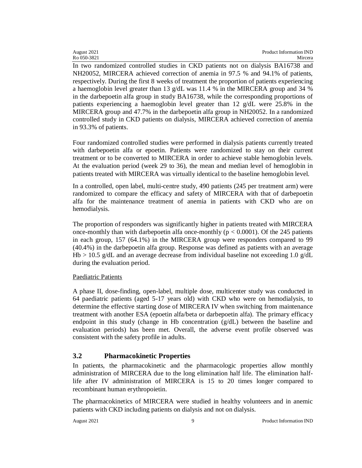In two randomized controlled studies in CKD patients not on dialysis BA16738 and NH20052, MIRCERA achieved correction of anemia in 97.5 % and 94.1% of patients, respectively. During the first 8 weeks of treatment the proportion of patients experiencing a haemoglobin level greater than 13 g/dL was 11.4 % in the MIRCERA group and 34 % in the darbepoetin alfa group in study BA16738, while the corresponding proportions of patients experiencing a haemoglobin level greater than 12 g/dL were 25.8% in the MIRCERA group and 47.7% in the darbepoetin alfa group in NH20052. In a randomized controlled study in CKD patients on dialysis, MIRCERA achieved correction of anemia in 93.3% of patients.

Four randomized controlled studies were performed in dialysis patients currently treated with darbepoetin alfa or epoetin. Patients were randomized to stay on their current treatment or to be converted to MIRCERA in order to achieve stable hemoglobin levels. At the evaluation period (week 29 to 36), the mean and median level of hemoglobin in patients treated with MIRCERA was virtually identical to the baseline hemoglobin level.

In a controlled, open label, multi-centre study, 490 patients (245 per treatment arm) were randomized to compare the efficacy and safety of MIRCERA with that of darbepoetin alfa for the maintenance treatment of anemia in patients with CKD who are on hemodialysis.

The proportion of responders was significantly higher in patients treated with MIRCERA once-monthly than with darbepoetin alfa once-monthly ( $p < 0.0001$ ). Of the 245 patients in each group, 157 (64.1%) in the MIRCERA group were responders compared to 99 (40.4%) in the darbepoetin alfa group. Response was defined as patients with an average Hb > 10.5 g/dL and an average decrease from individual baseline not exceeding 1.0 g/dL during the evaluation period.

### Paediatric Patients

A phase II, dose-finding, open-label, multiple dose, multicenter study was conducted in 64 paediatric patients (aged 5-17 years old) with CKD who were on hemodialysis, to determine the effective starting dose of MIRCERA IV when switching from maintenance treatment with another ESA (epoetin alfa/beta or darbepoetin alfa). The primary efficacy endpoint in this study (change in Hb concentration (g/dL) between the baseline and evaluation periods) has been met. Overall, the adverse event profile observed was consistent with the safety profile in adults.

# **3.2 Pharmacokinetic Properties**

In patients, the pharmacokinetic and the pharmacologic properties allow monthly administration of MIRCERA due to the long elimination half life. The elimination halflife after IV administration of MIRCERA is 15 to 20 times longer compared to recombinant human erythropoietin.

The pharmacokinetics of MIRCERA were studied in healthy volunteers and in anemic patients with CKD including patients on dialysis and not on dialysis.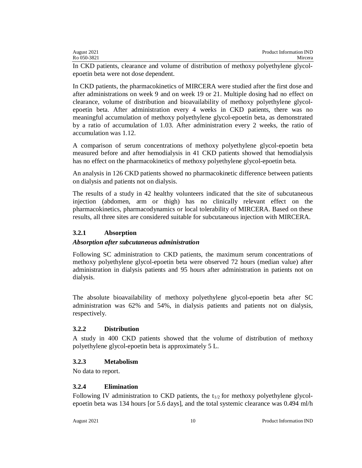| August 2021 | <b>Product Information IND</b> |
|-------------|--------------------------------|
| Ro 050-3821 | Mircera                        |

In CKD patients, clearance and volume of distribution of methoxy polyethylene glycolepoetin beta were not dose dependent.

In CKD patients, the pharmacokinetics of MIRCERA were studied after the first dose and after administrations on week 9 and on week 19 or 21. Multiple dosing had no effect on clearance, volume of distribution and bioavailability of methoxy polyethylene glycolepoetin beta. After administration every 4 weeks in CKD patients, there was no meaningful accumulation of methoxy polyethylene glycol-epoetin beta, as demonstrated by a ratio of accumulation of 1.03. After administration every 2 weeks, the ratio of accumulation was 1.12.

A comparison of serum concentrations of methoxy polyethylene glycol-epoetin beta measured before and after hemodialysis in 41 CKD patients showed that hemodialysis has no effect on the pharmacokinetics of methoxy polyethylene glycol-epoetin beta.

An analysis in 126 CKD patients showed no pharmacokinetic difference between patients on dialysis and patients not on dialysis.

The results of a study in 42 healthy volunteers indicated that the site of subcutaneous injection (abdomen, arm or thigh) has no clinically relevant effect on the pharmacokinetics, pharmacodynamics or local tolerability of MIRCERA. Based on these results, all three sites are considered suitable for subcutaneous injection with MIRCERA.

### **3.2.1 Absorption**

#### *Absorption after subcutaneous administration*

Following SC administration to CKD patients, the maximum serum concentrations of methoxy polyethylene glycol-epoetin beta were observed 72 hours (median value) after administration in dialysis patients and 95 hours after administration in patients not on dialysis.

The absolute bioavailability of methoxy polyethylene glycol-epoetin beta after SC administration was 62% and 54%, in dialysis patients and patients not on dialysis, respectively.

### **3.2.2 Distribution**

A study in 400 CKD patients showed that the volume of distribution of methoxy polyethylene glycol-epoetin beta is approximately 5 L.

### **3.2.3 Metabolism**

No data to report.

### **3.2.4 Elimination**

Following IV administration to CKD patients, the  $t_{1/2}$  for methoxy polyethylene glycolepoetin beta was 134 hours [or 5.6 days], and the total systemic clearance was 0.494 ml/h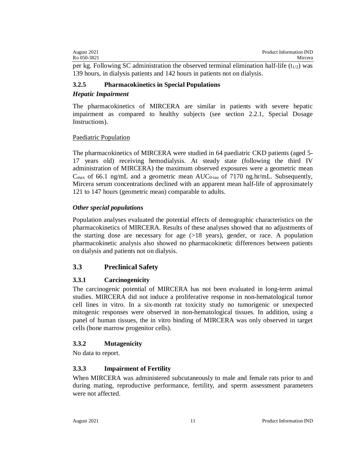| August 2021 | Product Information IND |
|-------------|-------------------------|
| Ro 050-3821 | Mircera                 |

per kg. Following SC administration the observed terminal elimination half-life  $(t_{1/2})$  was 139 hours, in dialysis patients and 142 hours in patients not on dialysis.

### **3.2.5 Pharmacokinetics in Special Populations**

### *Hepatic Impairment*

The pharmacokinetics of MIRCERA are similar in patients with severe hepatic impairment as compared to healthy subjects (see section 2.2.1, Special Dosage Instructions).

### Paediatric Population

The pharmacokinetics of MIRCERA were studied in 64 paediatric CKD patients (aged 5- 17 years old) receiving hemodialysis. At steady state (following the third IV administration of MIRCERA) the maximum observed exposures were a geometric mean  $C_{\text{max}}$  of 66.1 ng/mL and a geometric mean AUC<sub>0-tau</sub> of 7170 ng.hr/mL. Subsequently, Mircera serum concentrations declined with an apparent mean half-life of approximately 121 to 147 hours (geometric mean) comparable to adults.

### *Other special populations*

Population analyses evaluated the potential effects of demographic characteristics on the pharmacokinetics of MIRCERA. Results of these analyses showed that no adjustments of the starting dose are necessary for age (>18 years), gender, or race. A population pharmacokinetic analysis also showed no pharmacokinetic differences between patients on dialysis and patients not on dialysis.

# **3.3 Preclinical Safety**

### **3.3.1 Carcinogenicity**

The carcinogenic potential of MIRCERA has not been evaluated in long-term animal studies. MIRCERA did not induce a proliferative response in non-hematological tumor cell lines in vitro. In a six-month rat toxicity study no tumorigenic or unexpected mitogenic responses were observed in non-hematological tissues. In addition, using a panel of human tissues, the in vitro binding of MIRCERA was only observed in target cells (bone marrow progenitor cells).

### **3.3.2 Mutagenicity**

No data to report.

### **3.3.3 Impairment of Fertility**

When MIRCERA was administered subcutaneously to male and female rats prior to and during mating, reproductive performance, fertility, and sperm assessment parameters were not affected.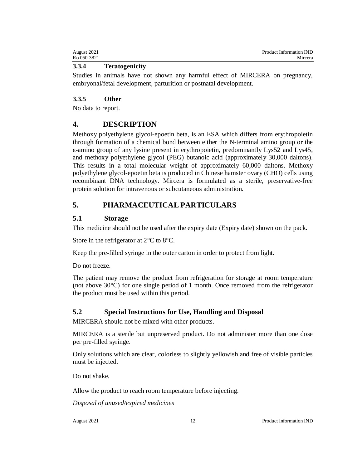| August 2021 | Product Information IND |
|-------------|-------------------------|
| Ro 050-3821 | Mircera                 |

### **3.3.4 Teratogenicity**

Studies in animals have not shown any harmful effect of MIRCERA on pregnancy, embryonal/fetal development, parturition or postnatal development.

### **3.3.5 Other**

No data to report.

# **4. DESCRIPTION**

Methoxy polyethylene glycol-epoetin beta, is an ESA which differs from erythropoietin through formation of a chemical bond between either the N-terminal amino group or the ε-amino group of any lysine present in erythropoietin, predominantly Lys52 and Lys45, and methoxy polyethylene glycol (PEG) butanoic acid (approximately 30,000 daltons). This results in a total molecular weight of approximately 60,000 daltons. Methoxy polyethylene glycol-epoetin beta is produced in Chinese hamster ovary (CHO) cells using recombinant DNA technology. Mircera is formulated as a sterile, preservative-free protein solution for intravenous or subcutaneous administration.

# **5. PHARMACEUTICAL PARTICULARS**

# **5.1 Storage**

This medicine should not be used after the expiry date (Expiry date) shown on the pack.

Store in the refrigerator at 2°C to 8°C.

Keep the pre-filled syringe in the outer carton in order to protect from light.

Do not freeze.

The patient may remove the product from refrigeration for storage at room temperature (not above 30°C) for one single period of 1 month. Once removed from the refrigerator the product must be used within this period.

# **5.2 Special Instructions for Use, Handling and Disposal**

MIRCERA should not be mixed with other products.

MIRCERA is a sterile but unpreserved product. Do not administer more than one dose per pre-filled syringe.

Only solutions which are clear, colorless to slightly yellowish and free of visible particles must be injected.

Do not shake.

Allow the product to reach room temperature before injecting.

*Disposal of unused/expired medicines*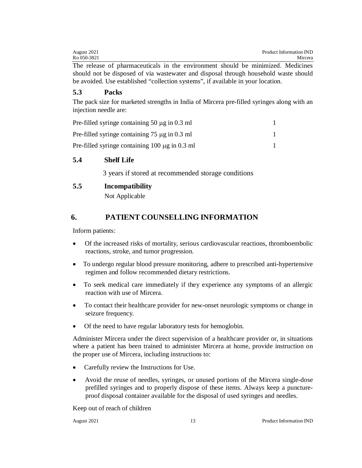| August 2021 |  |  |  |  |  |  |  | Product Information IND |  |  |       |  |  |  |  |  |  |  |         |
|-------------|--|--|--|--|--|--|--|-------------------------|--|--|-------|--|--|--|--|--|--|--|---------|
| Ro 050-3821 |  |  |  |  |  |  |  |                         |  |  |       |  |  |  |  |  |  |  | Mircera |
| m1          |  |  |  |  |  |  |  |                         |  |  | - 111 |  |  |  |  |  |  |  |         |

The release of pharmaceuticals in the environment should be minimized. Medicines should not be disposed of via wastewater and disposal through household waste should be avoided. Use established "collection systems", if available in your location.

### **5.3 Packs**

The pack size for marketed strengths in India of Mircera pre-filled syringes along with an injection needle are:

| Pre-filled syringe containing 50 $\mu$ g in 0.3 ml  |  |
|-----------------------------------------------------|--|
| Pre-filled syringe containing $75 \mu$ g in 0.3 ml  |  |
| Pre-filled syringe containing $100 \mu g$ in 0.3 ml |  |

### **5.4 Shelf Life**

3 years if stored at recommended storage conditions

### **5.5 Incompatibility**

Not Applicable

# **6. PATIENT COUNSELLING INFORMATION**

Inform patients:

- Of the increased risks of mortality, serious cardiovascular reactions, thromboembolic reactions, stroke, and tumor progression.
- To undergo regular blood pressure monitoring, adhere to prescribed anti-hypertensive regimen and follow recommended dietary restrictions.
- To seek medical care immediately if they experience any symptoms of an allergic reaction with use of Mircera.
- To contact their healthcare provider for new-onset neurologic symptoms or change in seizure frequency.
- Of the need to have regular laboratory tests for hemoglobin.

Administer Mircera under the direct supervision of a healthcare provider or, in situations where a patient has been trained to administer Mircera at home, provide instruction on the proper use of Mircera, including instructions to:

- Carefully review the Instructions for Use.
- Avoid the reuse of needles, syringes, or unused portions of the Mircera single-dose prefilled syringes and to properly dispose of these items. Always keep a punctureproof disposal container available for the disposal of used syringes and needles.

Keep out of reach of children